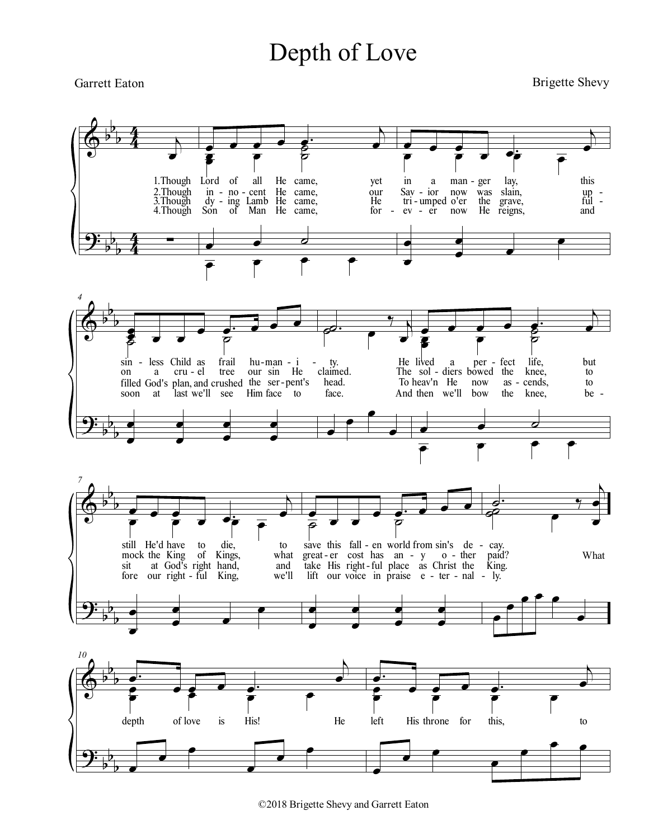## Depth of Love

## **Garrett Eaton**

**Brigette Shevy** 



©2018 Brigette Shevy and Garrett Eaton